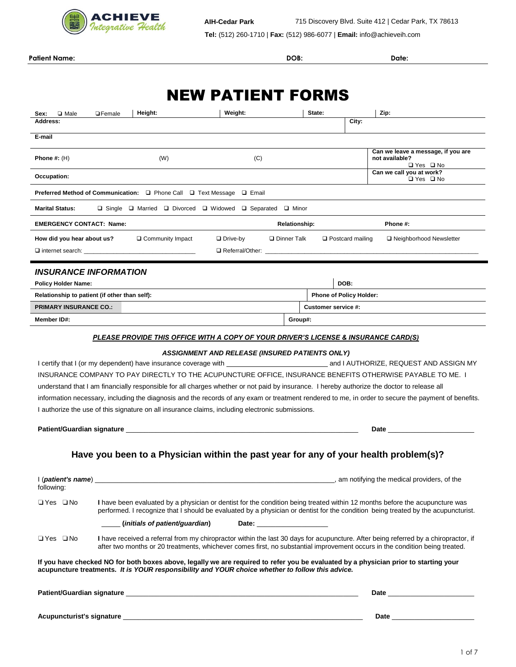

**Patient Name: DOB: Date:**

# NEW PATIENT FORMS

| <b>OF</b> emale<br>□ Male<br>Sex:                                      | Height:                        | Weight:                                                                                                                                                                                                                                  | State:               |                                | Zip:                                                                                                                                                                                                                                                               |
|------------------------------------------------------------------------|--------------------------------|------------------------------------------------------------------------------------------------------------------------------------------------------------------------------------------------------------------------------------------|----------------------|--------------------------------|--------------------------------------------------------------------------------------------------------------------------------------------------------------------------------------------------------------------------------------------------------------------|
| Address:                                                               |                                |                                                                                                                                                                                                                                          |                      | City:                          |                                                                                                                                                                                                                                                                    |
| E-mail                                                                 |                                |                                                                                                                                                                                                                                          |                      |                                |                                                                                                                                                                                                                                                                    |
| Phone $#: (H)$                                                         | (W)                            | (C)                                                                                                                                                                                                                                      |                      |                                | Can we leave a message, if you are<br>not available?<br><b>□ Yes □ No</b>                                                                                                                                                                                          |
| Occupation:                                                            |                                |                                                                                                                                                                                                                                          |                      |                                | Can we call you at work?<br>□ Yes □ No                                                                                                                                                                                                                             |
| Preferred Method of Communication: □ Phone Call □ Text Message □ Email |                                |                                                                                                                                                                                                                                          |                      |                                |                                                                                                                                                                                                                                                                    |
| <b>Marital Status:</b>                                                 |                                | $\Box$ Single $\Box$ Married $\Box$ Divorced $\Box$ Widowed $\Box$ Separated $\Box$ Minor                                                                                                                                                |                      |                                |                                                                                                                                                                                                                                                                    |
| <b>EMERGENCY CONTACT: Name:</b>                                        |                                |                                                                                                                                                                                                                                          | <b>Relationship:</b> |                                | Phone #:                                                                                                                                                                                                                                                           |
| How did you hear about us?                                             | □ Community Impact             | $\Box$ Drive-by                                                                                                                                                                                                                          | □ Dinner Talk        | $\Box$ Postcard mailing        | □ Neighborhood Newsletter                                                                                                                                                                                                                                          |
|                                                                        |                                | □ Referral/Other: ____________                                                                                                                                                                                                           |                      |                                |                                                                                                                                                                                                                                                                    |
| <b>INSURANCE INFORMATION</b>                                           |                                |                                                                                                                                                                                                                                          |                      |                                |                                                                                                                                                                                                                                                                    |
| <b>Policy Holder Name:</b>                                             |                                |                                                                                                                                                                                                                                          |                      | DOB:                           |                                                                                                                                                                                                                                                                    |
| Relationship to patient (if other than self):                          |                                |                                                                                                                                                                                                                                          |                      | <b>Phone of Policy Holder:</b> |                                                                                                                                                                                                                                                                    |
| <b>PRIMARY INSURANCE CO.:</b>                                          |                                |                                                                                                                                                                                                                                          | Customer service #:  |                                |                                                                                                                                                                                                                                                                    |
| Member ID#:                                                            |                                |                                                                                                                                                                                                                                          | Group#:              |                                |                                                                                                                                                                                                                                                                    |
|                                                                        |                                | PLEASE PROVIDE THIS OFFICE WITH A COPY OF YOUR DRIVER'S LICENSE & INSURANCE CARD(S)                                                                                                                                                      |                      |                                |                                                                                                                                                                                                                                                                    |
|                                                                        |                                | ASSIGNMENT AND RELEASE (INSURED PATIENTS ONLY)                                                                                                                                                                                           |                      |                                |                                                                                                                                                                                                                                                                    |
|                                                                        |                                |                                                                                                                                                                                                                                          |                      |                                |                                                                                                                                                                                                                                                                    |
|                                                                        |                                |                                                                                                                                                                                                                                          |                      |                                | INSURANCE COMPANY TO PAY DIRECTLY TO THE ACUPUNCTURE OFFICE, INSURANCE BENEFITS OTHERWISE PAYABLE TO ME. I                                                                                                                                                         |
|                                                                        |                                | understand that I am financially responsible for all charges whether or not paid by insurance. I hereby authorize the doctor to release all                                                                                              |                      |                                |                                                                                                                                                                                                                                                                    |
|                                                                        |                                |                                                                                                                                                                                                                                          |                      |                                | information necessary, including the diagnosis and the records of any exam or treatment rendered to me, in order to secure the payment of benefits.                                                                                                                |
|                                                                        |                                | I authorize the use of this signature on all insurance claims, including electronic submissions.                                                                                                                                         |                      |                                |                                                                                                                                                                                                                                                                    |
|                                                                        |                                |                                                                                                                                                                                                                                          |                      |                                | Date <u>and the series of the series of the series of the series of the series of the series of the series of the series of the series of the series of the series of the series of the series of the series of the series of th</u>                               |
|                                                                        |                                | Have you been to a Physician within the past year for any of your health problem(s)?                                                                                                                                                     |                      |                                |                                                                                                                                                                                                                                                                    |
| (patient's name)<br>following:                                         |                                |                                                                                                                                                                                                                                          |                      |                                | am notifying the medical providers, of the                                                                                                                                                                                                                         |
| □ Yes □ No                                                             |                                |                                                                                                                                                                                                                                          |                      |                                | I have been evaluated by a physician or dentist for the condition being treated within 12 months before the acupuncture was<br>performed. I recognize that I should be evaluated by a physician or dentist for the condition being treated by the acupuncturist.   |
|                                                                        | (initials of patient/guardian) |                                                                                                                                                                                                                                          |                      |                                |                                                                                                                                                                                                                                                                    |
| ⊟Yes ⊟No                                                               |                                |                                                                                                                                                                                                                                          |                      |                                | I have received a referral from my chiropractor within the last 30 days for acupuncture. After being referred by a chiropractor, if<br>after two months or 20 treatments, whichever comes first, no substantial improvement occurs in the condition being treated. |
|                                                                        |                                | If you have checked NO for both boxes above, legally we are required to refer you be evaluated by a physician prior to starting your<br>acupuncture treatments. It is YOUR responsibility and YOUR choice whether to follow this advice. |                      |                                |                                                                                                                                                                                                                                                                    |
|                                                                        |                                |                                                                                                                                                                                                                                          |                      |                                |                                                                                                                                                                                                                                                                    |
|                                                                        |                                |                                                                                                                                                                                                                                          |                      |                                | Date __________________________                                                                                                                                                                                                                                    |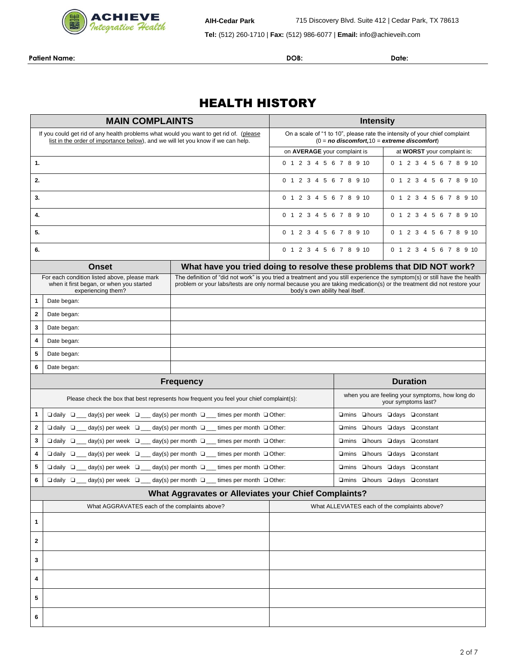

**Tel:** (512) 260-1710 | **Fax:** (512) 986-6077 | **Email:** info@achieveih.com

**Patient Name: DOB: Date:**

# HEALTH HISTORY

| <b>MAIN COMPLAINTS</b>                                                                                                                                                     |                                                                                                                |                                                                                                                                | <b>Intensity</b>                |                                                                        |                                                                                                                                                                                                                                                     |  |
|----------------------------------------------------------------------------------------------------------------------------------------------------------------------------|----------------------------------------------------------------------------------------------------------------|--------------------------------------------------------------------------------------------------------------------------------|---------------------------------|------------------------------------------------------------------------|-----------------------------------------------------------------------------------------------------------------------------------------------------------------------------------------------------------------------------------------------------|--|
| If you could get rid of any health problems what would you want to get rid of. (please<br>list in the order of importance below), and we will let you know if we can help. |                                                                                                                | On a scale of "1 to 10", please rate the intensity of your chief complaint<br>$(0 = no$ discomfort, $10 =$ extreme discomfort) |                                 |                                                                        |                                                                                                                                                                                                                                                     |  |
|                                                                                                                                                                            |                                                                                                                | on AVERAGE your complaint is                                                                                                   |                                 | at WORST your complaint is:                                            |                                                                                                                                                                                                                                                     |  |
| 1.                                                                                                                                                                         |                                                                                                                |                                                                                                                                | 0 1 2 3 4 5 6 7 8 9 10          |                                                                        | 0 1 2 3 4 5 6 7 8 9 10                                                                                                                                                                                                                              |  |
| 2.                                                                                                                                                                         |                                                                                                                |                                                                                                                                | 0 1 2 3 4 5 6 7 8 9 10          |                                                                        | 0 1 2 3 4 5 6 7 8 9 10                                                                                                                                                                                                                              |  |
| 3.                                                                                                                                                                         |                                                                                                                |                                                                                                                                | 0 1 2 3 4 5 6 7 8 9 10          |                                                                        | 0 1 2 3 4 5 6 7 8 9 10                                                                                                                                                                                                                              |  |
| 4.                                                                                                                                                                         |                                                                                                                |                                                                                                                                | 0 1 2 3 4 5 6 7 8 9 10          |                                                                        | 0 1 2 3 4 5 6 7 8 9 10                                                                                                                                                                                                                              |  |
| 5.                                                                                                                                                                         |                                                                                                                |                                                                                                                                | 0 1 2 3 4 5 6 7 8 9 10          |                                                                        | 0 1 2 3 4 5 6 7 8 9 10                                                                                                                                                                                                                              |  |
| 6.                                                                                                                                                                         |                                                                                                                |                                                                                                                                | 0 1 2 3 4 5 6 7 8 9 10          |                                                                        | 0 1 2 3 4 5 6 7 8 9 10                                                                                                                                                                                                                              |  |
|                                                                                                                                                                            | <b>Onset</b>                                                                                                   |                                                                                                                                |                                 |                                                                        | What have you tried doing to resolve these problems that DID NOT work?                                                                                                                                                                              |  |
|                                                                                                                                                                            | For each condition listed above, please mark<br>when it first began, or when you started<br>experiencing them? |                                                                                                                                | body's own ability heal itself. |                                                                        | The definition of "did not work" is you tried a treatment and you still experience the symptom(s) or still have the health<br>problem or your labs/tests are only normal because you are taking medication(s) or the treatment did not restore your |  |
| 1                                                                                                                                                                          | Date began:                                                                                                    |                                                                                                                                |                                 |                                                                        |                                                                                                                                                                                                                                                     |  |
| 2                                                                                                                                                                          | Date began:                                                                                                    |                                                                                                                                |                                 |                                                                        |                                                                                                                                                                                                                                                     |  |
| 3                                                                                                                                                                          | Date began:                                                                                                    |                                                                                                                                |                                 |                                                                        |                                                                                                                                                                                                                                                     |  |
| 4                                                                                                                                                                          | Date began:                                                                                                    |                                                                                                                                |                                 |                                                                        |                                                                                                                                                                                                                                                     |  |
| 5                                                                                                                                                                          | Date began:                                                                                                    |                                                                                                                                |                                 |                                                                        |                                                                                                                                                                                                                                                     |  |
| 6                                                                                                                                                                          | Date began:                                                                                                    |                                                                                                                                |                                 |                                                                        |                                                                                                                                                                                                                                                     |  |
|                                                                                                                                                                            |                                                                                                                | <b>Frequency</b>                                                                                                               |                                 |                                                                        | <b>Duration</b>                                                                                                                                                                                                                                     |  |
|                                                                                                                                                                            | Please check the box that best represents how frequent you feel your chief complaint(s):                       |                                                                                                                                |                                 | when you are feeling your symptoms, how long do<br>your symptoms last? |                                                                                                                                                                                                                                                     |  |
| 1                                                                                                                                                                          | $\Box$ daily $\Box$ day(s) per week $\Box$ day(s) per month $\Box$ times per month $\Box$ Other:               |                                                                                                                                |                                 |                                                                        | □mins □hours □days □constant                                                                                                                                                                                                                        |  |
| $\mathbf{2}$                                                                                                                                                               | $\Box$ daily $\Box$ day(s) per week $\Box$ day(s) per month $\Box$ times per month $\Box$ Other:               |                                                                                                                                |                                 |                                                                        | □ mins □ hours □ days □ constant                                                                                                                                                                                                                    |  |
| 3                                                                                                                                                                          | $\Box$ daily $\Box$ day(s) per week $\Box$ day(s) per month $\Box$ times per month $\Box$ Other:               |                                                                                                                                |                                 | □ mins □ hours □ days □ constant                                       |                                                                                                                                                                                                                                                     |  |
| 4                                                                                                                                                                          | $\Box$ daily $\Box$ day(s) per week $\Box$ day(s) per month $\Box$ times per month $\Box$ Other:               |                                                                                                                                |                                 | □mins □hours □days □constant                                           |                                                                                                                                                                                                                                                     |  |
| 5                                                                                                                                                                          | $\Box$ daily $\Box$ day(s) per week $\Box$ day(s) per month $\Box$ times per month $\Box$ Other:               |                                                                                                                                |                                 | □ mins □ hours □ days □ constant                                       |                                                                                                                                                                                                                                                     |  |
| 6                                                                                                                                                                          | $\Box$ daily $\Box$ day(s) per week $\Box$ day(s) per month $\Box$ times per month $\Box$ Other:               |                                                                                                                                |                                 |                                                                        | □mins □hours □days □constant                                                                                                                                                                                                                        |  |
|                                                                                                                                                                            |                                                                                                                | What Aggravates or Alleviates your Chief Complaints?                                                                           |                                 |                                                                        |                                                                                                                                                                                                                                                     |  |
|                                                                                                                                                                            | What AGGRAVATES each of the complaints above?                                                                  |                                                                                                                                |                                 |                                                                        | What ALLEVIATES each of the complaints above?                                                                                                                                                                                                       |  |
| 1                                                                                                                                                                          |                                                                                                                |                                                                                                                                |                                 |                                                                        |                                                                                                                                                                                                                                                     |  |
| $\mathbf{2}$                                                                                                                                                               |                                                                                                                |                                                                                                                                |                                 |                                                                        |                                                                                                                                                                                                                                                     |  |
| 3                                                                                                                                                                          |                                                                                                                |                                                                                                                                |                                 |                                                                        |                                                                                                                                                                                                                                                     |  |
| 4                                                                                                                                                                          |                                                                                                                |                                                                                                                                |                                 |                                                                        |                                                                                                                                                                                                                                                     |  |
| 5                                                                                                                                                                          |                                                                                                                |                                                                                                                                |                                 |                                                                        |                                                                                                                                                                                                                                                     |  |
| 6                                                                                                                                                                          |                                                                                                                |                                                                                                                                |                                 |                                                                        |                                                                                                                                                                                                                                                     |  |
|                                                                                                                                                                            |                                                                                                                |                                                                                                                                |                                 |                                                                        |                                                                                                                                                                                                                                                     |  |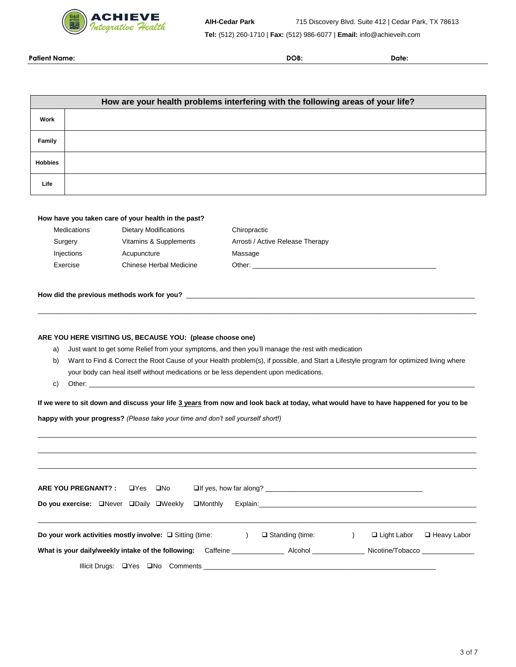

**Patient Name: DOB: Date:**

|                |                                                                                                                                        |  |             |                                                     |                                                            | How are your health problems interfering with the following areas of your life?                                                      |
|----------------|----------------------------------------------------------------------------------------------------------------------------------------|--|-------------|-----------------------------------------------------|------------------------------------------------------------|--------------------------------------------------------------------------------------------------------------------------------------|
| Work           |                                                                                                                                        |  |             |                                                     |                                                            |                                                                                                                                      |
|                |                                                                                                                                        |  |             |                                                     |                                                            |                                                                                                                                      |
| Family         |                                                                                                                                        |  |             |                                                     |                                                            |                                                                                                                                      |
| <b>Hobbies</b> |                                                                                                                                        |  |             |                                                     |                                                            |                                                                                                                                      |
| Life           |                                                                                                                                        |  |             |                                                     |                                                            |                                                                                                                                      |
|                |                                                                                                                                        |  |             |                                                     |                                                            |                                                                                                                                      |
|                |                                                                                                                                        |  |             | How have you taken care of your health in the past? |                                                            |                                                                                                                                      |
|                | Medications                                                                                                                            |  |             | <b>Dietary Modifications</b>                        |                                                            | Chiropractic                                                                                                                         |
|                | Surgery                                                                                                                                |  |             | Vitamins & Supplements                              |                                                            | Arrosti / Active Release Therapy                                                                                                     |
|                | Injections                                                                                                                             |  | Acupuncture |                                                     |                                                            | Massage                                                                                                                              |
|                | Exercise                                                                                                                               |  |             | <b>Chinese Herbal Medicine</b>                      |                                                            |                                                                                                                                      |
| a)             |                                                                                                                                        |  |             |                                                     | ARE YOU HERE VISITING US, BECAUSE YOU: (please choose one) | Just want to get some Relief from your symptoms, and then you'll manage the rest with medication                                     |
| b)             | Want to Find & Correct the Root Cause of your Health problem(s), if possible, and Start a Lifestyle program for optimized living where |  |             |                                                     |                                                            |                                                                                                                                      |
|                | your body can heal itself without medications or be less dependent upon medications.                                                   |  |             |                                                     |                                                            |                                                                                                                                      |
| C)             | Other: example, and the state of the state of the state of the state of the state of the state of the state of                         |  |             |                                                     |                                                            |                                                                                                                                      |
|                |                                                                                                                                        |  |             |                                                     |                                                            | If we were to sit down and discuss your life 3 years from now and look back at today, what would have to have happened for you to be |
|                |                                                                                                                                        |  |             |                                                     |                                                            | happy with your progress? (Please take your time and don't sell yourself short!)                                                     |
|                |                                                                                                                                        |  |             |                                                     |                                                            |                                                                                                                                      |
|                |                                                                                                                                        |  |             |                                                     |                                                            |                                                                                                                                      |
|                |                                                                                                                                        |  |             |                                                     |                                                            |                                                                                                                                      |
|                |                                                                                                                                        |  |             |                                                     |                                                            |                                                                                                                                      |
|                | ARE YOU PREGNANT? :                                                                                                                    |  | $\Box$ Yes  | $\square$ No                                        |                                                            |                                                                                                                                      |
|                | Do you exercise: Never DDaily OWeekly                                                                                                  |  |             |                                                     | $\Box$ Monthly                                             | Explain:                                                                                                                             |
|                |                                                                                                                                        |  |             |                                                     |                                                            |                                                                                                                                      |

| Do your work activities mostly involve: $\Box$ Sitting (time: |          | $\Box$ Standing (time: | $\Box$ Light Labor | □ Heavy Labor |
|---------------------------------------------------------------|----------|------------------------|--------------------|---------------|
| What is your daily/weekly intake of the following:            | Caffeine | Alcohol                | Nicotine/Tobacco   |               |
| Illicit Drugs: □ Yes □ No Comments                            |          |                        |                    |               |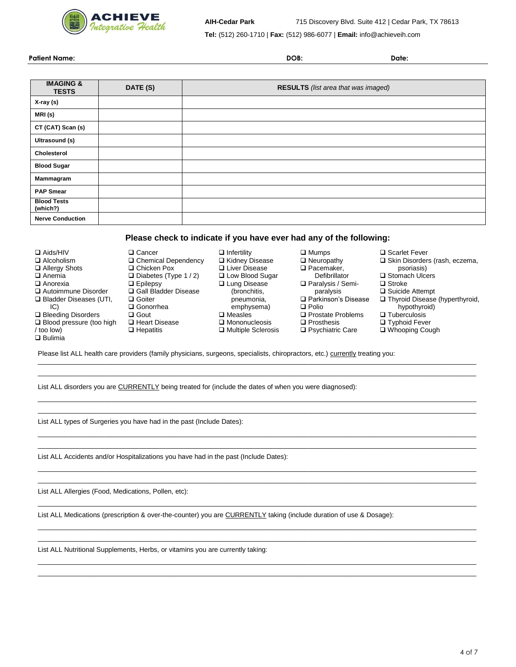

**Tel:** (512) 260-1710 | **Fax:** (512) 986-6077 | **Email:** info@achieveih.com

**Patient Name: DOB: Date:**

| <b>IMAGING &amp;</b><br><b>TESTS</b> | DATE (S) | RESULTS (list area that was imaged) |
|--------------------------------------|----------|-------------------------------------|
| X-ray (s)                            |          |                                     |
| MRI (s)                              |          |                                     |
| CT (CAT) Scan (s)                    |          |                                     |
| Ultrasound (s)                       |          |                                     |
| Cholesterol                          |          |                                     |
| <b>Blood Sugar</b>                   |          |                                     |
| Mammagram                            |          |                                     |
| <b>PAP Smear</b>                     |          |                                     |
| <b>Blood Tests</b><br>(which?)       |          |                                     |
| <b>Nerve Conduction</b>              |          |                                     |

### **Please check to indicate if you have ever had any of the following:**

| $\Box$ Aids/HIV                 | $\Box$ Cancer              | $\Box$ Infertility   | $\square$ Mumps          | □ Scarlet Fever                       |
|---------------------------------|----------------------------|----------------------|--------------------------|---------------------------------------|
| $\Box$ Alcoholism               | □ Chemical Dependency      | □ Kidney Disease     | $\Box$ Neuropathy        | $\Box$ Skin Disorders (rash, eczema,  |
| □ Allergy Shots                 | $\Box$ Chicken Pox         | □ Liver Disease      | $\Box$ Pacemaker.        | psoriasis)                            |
| $\Box$ Anemia                   | $\Box$ Diabetes (Type 1/2) | □ Low Blood Sugar    | Defibrillator            | □ Stomach Ulcers                      |
| $\Box$ Anorexia                 | $\Box$ Epilepsy            | □ Lung Disease       | $\Box$ Paralysis / Semi- | $\Box$ Stroke                         |
| Autoimmune Disorder             | □ Gall Bladder Disease     | (bronchitis.         | paralysis                | $\Box$ Suicide Attempt                |
| $\Box$ Bladder Diseases (UTI,   | $\Box$ Goiter              | pneumonia,           | □ Parkinson's Disease    | $\Box$ Thyroid Disease (hyperthyroid, |
| IC)                             | $\Box$ Gonorrhea           | emphysema)           | $\Box$ Polio             | hypothyroid)                          |
| $\Box$ Bleeding Disorders       | $\Box$ Gout                | $\square$ Measles    | □ Prostate Problems      | $\Box$ Tuberculosis                   |
| $\Box$ Blood pressure (too high | □ Heart Disease            | $\Box$ Mononucleosis | $\Box$ Prosthesis        | $\Box$ Typhoid Fever                  |
| / too low)                      | $\Box$ Hepatitis           | □ Multiple Sclerosis | $\Box$ Psychiatric Care  | □ Whooping Cough                      |
| $\Box$ Bulimia                  |                            |                      |                          |                                       |

\_\_\_\_\_\_\_\_\_\_\_\_\_\_\_\_\_\_\_\_\_\_\_\_\_\_\_\_\_\_\_\_\_\_\_\_\_\_\_\_\_\_\_\_\_\_\_\_\_\_\_\_\_\_\_\_\_\_\_\_\_\_\_\_\_\_\_\_\_\_\_\_\_\_\_\_\_\_\_\_\_\_\_\_\_\_\_\_\_\_\_\_\_\_\_\_\_\_\_\_\_\_\_\_\_\_\_\_\_\_\_\_\_\_\_\_\_ \_\_\_\_\_\_\_\_\_\_\_\_\_\_\_\_\_\_\_\_\_\_\_\_\_\_\_\_\_\_\_\_\_\_\_\_\_\_\_\_\_\_\_\_\_\_\_\_\_\_\_\_\_\_\_\_\_\_\_\_\_\_\_\_\_\_\_\_\_\_\_\_\_\_\_\_\_\_\_\_\_\_\_\_\_\_\_\_\_\_\_\_\_\_\_\_\_\_\_\_\_\_\_\_\_\_\_\_\_\_\_\_\_\_\_\_\_

\_\_\_\_\_\_\_\_\_\_\_\_\_\_\_\_\_\_\_\_\_\_\_\_\_\_\_\_\_\_\_\_\_\_\_\_\_\_\_\_\_\_\_\_\_\_\_\_\_\_\_\_\_\_\_\_\_\_\_\_\_\_\_\_\_\_\_\_\_\_\_\_\_\_\_\_\_\_\_\_\_\_\_\_\_\_\_\_\_\_\_\_\_\_\_\_\_\_\_\_\_\_\_\_\_\_\_\_\_\_\_\_\_\_\_\_\_ \_\_\_\_\_\_\_\_\_\_\_\_\_\_\_\_\_\_\_\_\_\_\_\_\_\_\_\_\_\_\_\_\_\_\_\_\_\_\_\_\_\_\_\_\_\_\_\_\_\_\_\_\_\_\_\_\_\_\_\_\_\_\_\_\_\_\_\_\_\_\_\_\_\_\_\_\_\_\_\_\_\_\_\_\_\_\_\_\_\_\_\_\_\_\_\_\_\_\_\_\_\_\_\_\_\_\_\_\_\_\_\_\_\_\_\_\_

\_\_\_\_\_\_\_\_\_\_\_\_\_\_\_\_\_\_\_\_\_\_\_\_\_\_\_\_\_\_\_\_\_\_\_\_\_\_\_\_\_\_\_\_\_\_\_\_\_\_\_\_\_\_\_\_\_\_\_\_\_\_\_\_\_\_\_\_\_\_\_\_\_\_\_\_\_\_\_\_\_\_\_\_\_\_\_\_\_\_\_\_\_\_\_\_\_\_\_\_\_\_\_\_\_\_\_\_\_\_\_\_\_\_\_\_\_ \_\_\_\_\_\_\_\_\_\_\_\_\_\_\_\_\_\_\_\_\_\_\_\_\_\_\_\_\_\_\_\_\_\_\_\_\_\_\_\_\_\_\_\_\_\_\_\_\_\_\_\_\_\_\_\_\_\_\_\_\_\_\_\_\_\_\_\_\_\_\_\_\_\_\_\_\_\_\_\_\_\_\_\_\_\_\_\_\_\_\_\_\_\_\_\_\_\_\_\_\_\_\_\_\_\_\_\_\_\_\_\_\_\_\_\_\_

\_\_\_\_\_\_\_\_\_\_\_\_\_\_\_\_\_\_\_\_\_\_\_\_\_\_\_\_\_\_\_\_\_\_\_\_\_\_\_\_\_\_\_\_\_\_\_\_\_\_\_\_\_\_\_\_\_\_\_\_\_\_\_\_\_\_\_\_\_\_\_\_\_\_\_\_\_\_\_\_\_\_\_\_\_\_\_\_\_\_\_\_\_\_\_\_\_\_\_\_\_\_\_\_\_\_\_\_\_\_\_\_\_\_\_\_\_ \_\_\_\_\_\_\_\_\_\_\_\_\_\_\_\_\_\_\_\_\_\_\_\_\_\_\_\_\_\_\_\_\_\_\_\_\_\_\_\_\_\_\_\_\_\_\_\_\_\_\_\_\_\_\_\_\_\_\_\_\_\_\_\_\_\_\_\_\_\_\_\_\_\_\_\_\_\_\_\_\_\_\_\_\_\_\_\_\_\_\_\_\_\_\_\_\_\_\_\_\_\_\_\_\_\_\_\_\_\_\_\_\_\_\_\_\_

\_\_\_\_\_\_\_\_\_\_\_\_\_\_\_\_\_\_\_\_\_\_\_\_\_\_\_\_\_\_\_\_\_\_\_\_\_\_\_\_\_\_\_\_\_\_\_\_\_\_\_\_\_\_\_\_\_\_\_\_\_\_\_\_\_\_\_\_\_\_\_\_\_\_\_\_\_\_\_\_\_\_\_\_\_\_\_\_\_\_\_\_\_\_\_\_\_\_\_\_\_\_\_\_\_\_\_\_\_\_\_\_\_\_\_\_\_

\_\_\_\_\_\_\_\_\_\_\_\_\_\_\_\_\_\_\_\_\_\_\_\_\_\_\_\_\_\_\_\_\_\_\_\_\_\_\_\_\_\_\_\_\_\_\_\_\_\_\_\_\_\_\_\_\_\_\_\_\_\_\_\_\_\_\_\_\_\_\_\_\_\_\_\_\_\_\_\_\_\_\_\_\_\_\_\_\_\_\_\_\_\_\_\_\_\_\_\_\_\_\_\_\_\_\_\_\_\_\_\_\_\_\_\_\_ \_\_\_\_\_\_\_\_\_\_\_\_\_\_\_\_\_\_\_\_\_\_\_\_\_\_\_\_\_\_\_\_\_\_\_\_\_\_\_\_\_\_\_\_\_\_\_\_\_\_\_\_\_\_\_\_\_\_\_\_\_\_\_\_\_\_\_\_\_\_\_\_\_\_\_\_\_\_\_\_\_\_\_\_\_\_\_\_\_\_\_\_\_\_\_\_\_\_\_\_\_\_\_\_\_\_\_\_\_\_\_\_\_\_\_\_\_

\_\_\_\_\_\_\_\_\_\_\_\_\_\_\_\_\_\_\_\_\_\_\_\_\_\_\_\_\_\_\_\_\_\_\_\_\_\_\_\_\_\_\_\_\_\_\_\_\_\_\_\_\_\_\_\_\_\_\_\_\_\_\_\_\_\_\_\_\_\_\_\_\_\_\_\_\_\_\_\_\_\_\_\_\_\_\_\_\_\_\_\_\_\_\_\_\_\_\_\_\_\_\_\_\_\_\_\_\_\_\_\_\_\_\_\_\_ \_\_\_\_\_\_\_\_\_\_\_\_\_\_\_\_\_\_\_\_\_\_\_\_\_\_\_\_\_\_\_\_\_\_\_\_\_\_\_\_\_\_\_\_\_\_\_\_\_\_\_\_\_\_\_\_\_\_\_\_\_\_\_\_\_\_\_\_\_\_\_\_\_\_\_\_\_\_\_\_\_\_\_\_\_\_\_\_\_\_\_\_\_\_\_\_\_\_\_\_\_\_\_\_\_\_\_\_\_\_\_\_\_\_\_\_\_

Please list ALL health care providers (family physicians, surgeons, specialists, chiropractors, etc.) currently treating you:

List ALL disorders you are CURRENTLY being treated for (include the dates of when you were diagnosed):

List ALL types of Surgeries you have had in the past (Include Dates):

List ALL Accidents and/or Hospitalizations you have had in the past (Include Dates):

List ALL Allergies (Food, Medications, Pollen, etc):

List ALL Medications (prescription & over-the-counter) you are CURRENTLY taking (include duration of use & Dosage):

List ALL Nutritional Supplements, Herbs, or vitamins you are currently taking: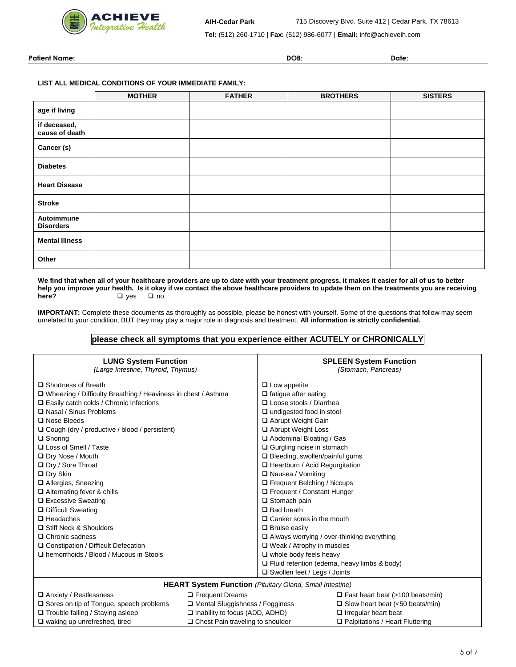

**Tel:** (512) 260-1710 | **Fax:** (512) 986-6077 | **Email:** info@achieveih.com

**Patient Name: DOB: Date:**

#### **LIST ALL MEDICAL CONDITIONS OF YOUR IMMEDIATE FAMILY:**

|                                | <b>MOTHER</b> | <b>FATHER</b> | <b>BROTHERS</b> | <b>SISTERS</b> |
|--------------------------------|---------------|---------------|-----------------|----------------|
| age if living                  |               |               |                 |                |
| if deceased,<br>cause of death |               |               |                 |                |
| Cancer (s)                     |               |               |                 |                |
| <b>Diabetes</b>                |               |               |                 |                |
| <b>Heart Disease</b>           |               |               |                 |                |
| <b>Stroke</b>                  |               |               |                 |                |
| Autoimmune<br><b>Disorders</b> |               |               |                 |                |
| <b>Mental Illness</b>          |               |               |                 |                |
| Other                          |               |               |                 |                |

**We find that when all of your healthcare providers are up to date with your treatment progress, it makes it easier for all of us to better**  help you improve your health. Is it okay if we contact the above healthcare providers to update them on the treatments you are receiving **here?** □ res □ no **here?** ❏ yes ❏ no

**IMPORTANT:** Complete these documents as thoroughly as possible, please be honest with yourself. Some of the questions that follow may seem unrelated to your condition, BUT they may play a major role in diagnosis and treatment. **All information is strictly confidential.**

# **please check all symptoms that you experience either ACUTELY or CHRONICALLY**

| <b>LUNG System Function</b><br>(Large Intestine, Thyroid, Thymus)                           |                                                                 |                                                    | <b>SPLEEN System Function</b><br>(Stomach, Pancreas) |  |
|---------------------------------------------------------------------------------------------|-----------------------------------------------------------------|----------------------------------------------------|------------------------------------------------------|--|
| □ Shortness of Breath                                                                       |                                                                 | $\Box$ Low appetite                                |                                                      |  |
| $\Box$ Wheezing / Difficulty Breathing / Heaviness in chest / Asthma                        |                                                                 | $\Box$ fatigue after eating                        |                                                      |  |
| $\Box$ Easily catch colds / Chronic Infections                                              |                                                                 | □ Loose stools / Diarrhea                          |                                                      |  |
| □ Nasal / Sinus Problems                                                                    |                                                                 | $\Box$ undigested food in stool                    |                                                      |  |
| $\Box$ Nose Bleeds                                                                          |                                                                 | □ Abrupt Weight Gain                               |                                                      |  |
| □ Cough (dry / productive / blood / persistent)                                             |                                                                 | Abrupt Weight Loss                                 |                                                      |  |
| $\Box$ Snoring                                                                              |                                                                 | Abdominal Bloating / Gas                           |                                                      |  |
| □ Loss of Smell / Taste                                                                     |                                                                 | □ Gurgling noise in stomach                        |                                                      |  |
| □ Dry Nose / Mouth                                                                          |                                                                 | $\Box$ Bleeding, swollen/painful gums              |                                                      |  |
| □ Dry / Sore Throat                                                                         |                                                                 | □ Heartburn / Acid Regurgitation                   |                                                      |  |
| $\Box$ Dry Skin                                                                             |                                                                 | □ Nausea / Vomiting                                |                                                      |  |
| □ Allergies, Sneezing                                                                       |                                                                 | $\Box$ Frequent Belching / hiccups                 |                                                      |  |
| $\Box$ Alternating fever & chills                                                           |                                                                 | □ Frequent / Constant Hunger                       |                                                      |  |
| □ Excessive Sweating                                                                        |                                                                 | $\Box$ Stomach pain                                |                                                      |  |
| □ Difficult Sweating                                                                        |                                                                 | $\Box$ Bad breath                                  |                                                      |  |
| $\Box$ Headaches                                                                            |                                                                 | $\Box$ Canker sores in the mouth                   |                                                      |  |
| □ Stiff Neck & Shoulders                                                                    |                                                                 | $\Box$ Bruise easily                               |                                                      |  |
| $\Box$ Chronic sadness                                                                      |                                                                 | $\Box$ Always worrying / over-thinking everything  |                                                      |  |
| □ Constipation / Difficult Defecation                                                       |                                                                 | $\Box$ Weak / Atrophy in muscles                   |                                                      |  |
| $\Box$ hemorrhoids / Blood / Mucous in Stools                                               |                                                                 | $\Box$ whole body feels heavy                      |                                                      |  |
|                                                                                             |                                                                 | $\Box$ Fluid retention (edema, heavy limbs & body) |                                                      |  |
|                                                                                             |                                                                 | Swollen feet / Legs / Joints                       |                                                      |  |
|                                                                                             | <b>HEART System Function</b> (Pituitary Gland, Small Intestine) |                                                    |                                                      |  |
| <b>E</b> Frequent Dreams<br>$\Box$ Anxiety / Restlessness                                   |                                                                 |                                                    | $\Box$ Fast heart beat (>100 beats/min)              |  |
| $\square$ Sores on tip of Tongue, speech problems<br>$\Box$ Mental Sluggishness / Fogginess |                                                                 |                                                    | $\Box$ Slow heart beat (<50 beats/min)               |  |
| $\Box$ Trouble falling / Staying asleep                                                     | $\Box$ Inability to focus (ADD, ADHD)                           |                                                    | $\Box$ Irregular heart beat                          |  |
| $\Box$ waking up unrefreshed, tired                                                         | $\Box$ Chest Pain traveling to shoulder                         |                                                    | $\Box$ Palpitations / Heart Fluttering               |  |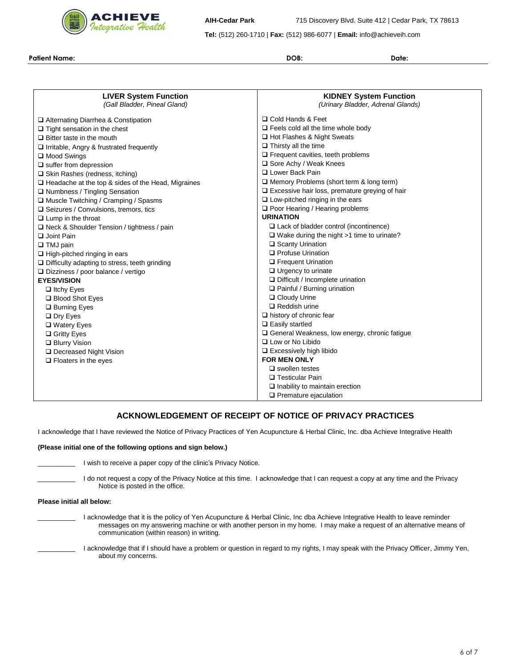

**AIH-Cedar Park** 715 Discovery Blvd. Suite 412 | Cedar Park, TX 78613

**Tel:** (512) 260-1710 | **Fax:** (512) 986-6077 | **Email:** info@achieveih.com

**Patient Name: DOB: Date:**

| <b>LIVER System Function</b><br>(Gall Bladder, Pineal Gland) | <b>KIDNEY System Function</b><br>(Urinary Bladder, Adrenal Glands) |
|--------------------------------------------------------------|--------------------------------------------------------------------|
| □ Alternating Diarrhea & Constipation                        | □ Cold Hands & Feet                                                |
| $\Box$ Tight sensation in the chest                          | $\Box$ Feels cold all the time whole body                          |
| $\Box$ Bitter taste in the mouth                             | □ Hot Flashes & Night Sweats                                       |
| $\Box$ Irritable, Angry & frustrated frequently              | $\Box$ Thirsty all the time                                        |
| □ Mood Swings                                                | $\square$ Frequent cavities, teeth problems                        |
| $\Box$ suffer from depression                                | Sore Achy / Weak Knees                                             |
| □ Skin Rashes (redness, itching)                             | □ Lower Back Pain                                                  |
| $\Box$ Headache at the top & sides of the Head, Migraines    | $\Box$ Memory Problems (short term & long term)                    |
| □ Numbness / Tingling Sensation                              | $\Box$ Excessive hair loss, premature greying of hair              |
| □ Muscle Twitching / Cramping / Spasms                       | $\Box$ Low-pitched ringing in the ears                             |
| $\square$ Seizures / Convulsions, tremors, tics              | □ Poor Hearing / Hearing problems                                  |
| $\Box$ Lump in the throat                                    | <b>URINATION</b>                                                   |
| $\Box$ Neck & Shoulder Tension / tightness / pain            | $\Box$ Lack of bladder control (incontinence)                      |
| □ Joint Pain                                                 | $\Box$ Wake during the night >1 time to urinate?                   |
| $\Box$ TMJ pain                                              | □ Scanty Urination                                                 |
| $\Box$ High-pitched ringing in ears                          | □ Profuse Urination                                                |
| $\Box$ Difficulty adapting to stress, teeth grinding         | <b>D</b> Frequent Urination                                        |
| $\Box$ Dizziness / poor balance / vertigo                    | $\Box$ Urgency to urinate                                          |
| <b>EYES/VISION</b>                                           | $\Box$ Difficult / Incomplete urination                            |
| $\Box$ Itchy Eyes                                            | $\Box$ Painful / Burning urination                                 |
| □ Blood Shot Eyes                                            | □ Cloudy Urine                                                     |
| □ Burning Eyes                                               | $\Box$ Reddish urine                                               |
| $\Box$ Dry Eyes                                              | $\Box$ history of chronic fear                                     |
| □ Watery Eyes                                                | $\Box$ Easily startled                                             |
| □ Gritty Eyes                                                | $\Box$ General Weakness, low energy, chronic fatigue               |
| □ Blurry Vision                                              | $\Box$ Low or No Libido                                            |
| □ Decreased Night Vision                                     | $\Box$ Excessively high libido                                     |
| $\Box$ Floaters in the eyes                                  | <b>FOR MEN ONLY</b>                                                |
|                                                              | $\square$ swollen testes                                           |
|                                                              | □ Testicular Pain                                                  |
|                                                              | $\Box$ Inability to maintain erection                              |
|                                                              | $\Box$ Premature ejaculation                                       |

# **ACKNOWLEDGEMENT OF RECEIPT OF NOTICE OF PRIVACY PRACTICES**

I acknowledge that I have reviewed the Notice of Privacy Practices of Yen Acupuncture & Herbal Clinic, Inc. dba Achieve Integrative Health

#### **(Please initial one of the following options and sign below.)**

I wish to receive a paper copy of the clinic's Privacy Notice.

I do not request a copy of the Privacy Notice at this time. I acknowledge that I can request a copy at any time and the Privacy Notice is posted in the office.

#### **Please initial all below:**

- I acknowledge that it is the policy of Yen Acupuncture & Herbal Clinic, Inc dba Achieve Integrative Health to leave reminder messages on my answering machine or with another person in my home. I may make a request of an alternative means of communication (within reason) in writing.
- I acknowledge that if I should have a problem or question in regard to my rights, I may speak with the Privacy Officer, Jimmy Yen, about my concerns.